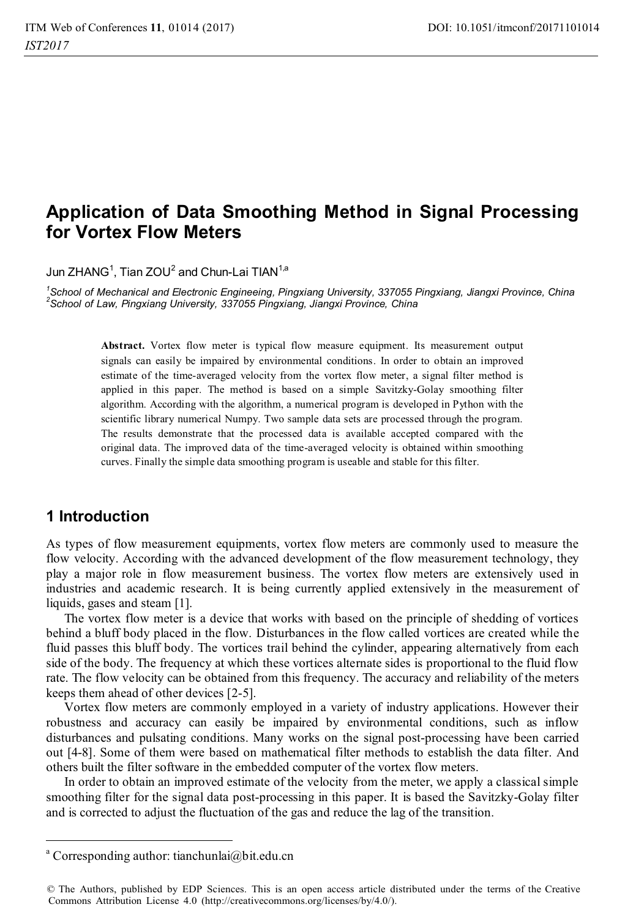# **Application of Data Smoothing Method in Signal Processing for Vortex Flow Meters**

Jun ZHANG $^1$ . Tian ZOU $^2$  and Chun-Lai TIAN $^{1,a}$ 

*1 School of Mechanical and Electronic Engineeing, Pingxiang University, 337055 Pingxiang, Jiangxi Province, China 2 School of Law, Pingxiang University, 337055 Pingxiang, Jiangxi Province, China* 

Abstract. Vortex flow meter is typical flow measure equipment. Its measurement output signals can easily be impaired by environmental conditions. In order to obtain an improved estimate of the time-averaged velocity from the vortex flow meter, a signal filter method is applied in this paper. The method is based on a simple Savitzky-Golay smoothing filter algorithm. According with the algorithm, a numerical program is developed in Python with the scientific library numerical Numpy. Two sample data sets are processed through the program. The results demonstrate that the processed data is available accepted compared with the original data. The improved data of the time-averaged velocity is obtained within smoothing curves. Finally the simple data smoothing program is useable and stable for this filter.

# **1 Introduction**

 $\overline{a}$ 

As types of flow measurement equipments, vortex flow meters are commonly used to measure the flow velocity. According with the advanced development of the flow measurement technology, they play a major role in flow measurement business. The vortex flow meters are extensively used in industries and academic research. It is being currently applied extensively in the measurement of liquids, gases and steam [1].

The vortex flow meter is a device that works with based on the principle of shedding of vortices behind a bluff body placed in the flow. Disturbances in the flow called vortices are created while the fluid passes this bluff body. The vortices trail behind the cylinder, appearing alternatively from each side of the body. The frequency at which these vortices alternate sides is proportional to the fluid flow rate. The flow velocity can be obtained from this frequency. The accuracy and reliability of the meters keeps them ahead of other devices [2-5].

Vortex flow meters are commonly employed in a variety of industry applications. However their robustness and accuracy can easily be impaired by environmental conditions, such as inflow disturbances and pulsating conditions. Many works on the signal post-processing have been carried out [4-8]. Some of them were based on mathematical filter methods to establish the data filter. And others built the filter software in the embedded computer of the vortex flow meters.

In order to obtain an improved estimate of the velocity from the meter, we apply a classical simple smoothing filter for the signal data post-processing in this paper. It is based the Savitzky-Golay filter and is corrected to adjust the fluctuation of the gas and reduce the lag of the transition.

a Corresponding author: tianchunlai@bit.edu.cn

<sup>©</sup> The Authors, published by EDP Sciences. This is an open access article distributed under the terms of the Creative Commons Attribution License 4.0 (http://creativecommons.org/licenses/by/4.0/).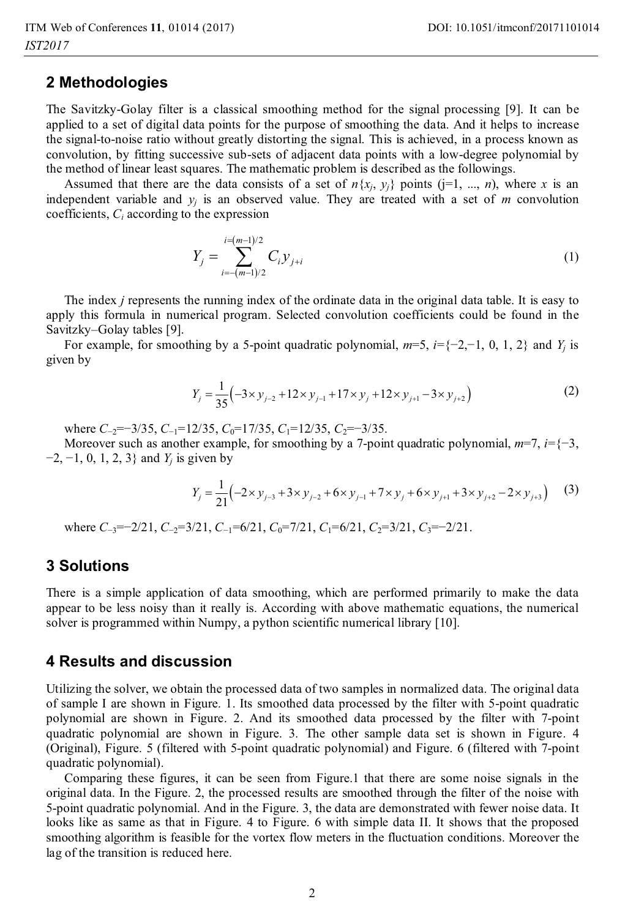## **2 Methodologies**

The Savitzky-Golay filter is a classical smoothing method for the signal processing [9]. It can be applied to a set of digital data points for the purpose of smoothing the data. And it helps to increase the signal-to-noise ratio without greatly distorting the signal. This is achieved, in a process known as convolution, by fitting successive sub-sets of adjacent data points with a low-degree polynomial by the method of linear least squares. The mathematic problem is described as the followings.

Assumed that there are the data consists of a set of  $n\{x_i, y_i\}$  points ( $j=1, ..., n$ ), where *x* is an independent variable and  $y_i$  is an observed value. They are treated with a set of  $m$  convolution coefficients, *Ci* according to the expression

$$
Y_j = \sum_{i=-(m-1)/2}^{i=(m-1)/2} C_i y_{j+i}
$$
 (1)

The index *j* represents the running index of the ordinate data in the original data table. It is easy to apply this formula in numerical program. Selected convolution coefficients could be found in the Savitzky–Golay tables [9].

For example, for smoothing by a 5-point quadratic polynomial,  $m=5$ ,  $i=\{-2,-1, 0, 1, 2\}$  and  $Y_i$  is given by

$$
Y_j = \frac{1}{35} \left( -3 \times y_{j-2} + 12 \times y_{j-1} + 17 \times y_j + 12 \times y_{j+1} - 3 \times y_{j+2} \right)
$$
 (2)

where *C*<sub>−2</sub>=−3/35, *C*<sub>−1</sub>=12/35, *C*<sub>0</sub>=17/35, *C*<sub>1</sub>=12/35, *C*<sub>2</sub>=−3/35.

Moreover such as another example, for smoothing by a 7-point quadratic polynomial,  $m=7$ ,  $i=5-3$ , −2, −1, 0, 1, 2, 3} and *Yj* is given by

$$
Y_j = \frac{1}{21} \Big( -2 \times y_{j-3} + 3 \times y_{j-2} + 6 \times y_{j-1} + 7 \times y_j + 6 \times y_{j+1} + 3 \times y_{j+2} - 2 \times y_{j+3} \Big) \tag{3}
$$

where *C*<sub>−3</sub>=−2/21, *C*<sub>−2</sub>=3/21, *C*<sub>−1</sub>=6/21, *C*<sub>0</sub>=7/21, *C*<sub>1</sub>=6/21, *C*<sub>2</sub>=3/21, *C*<sub>3</sub>=−2/21.

#### **3 Solutions**

There is a simple application of data smoothing, which are performed primarily to make the data appear to be less noisy than it really is. According with above mathematic equations, the numerical solver is programmed within Numpy, a python scientific numerical library [10].

#### **4 Results and discussion**

Utilizing the solver, we obtain the processed data of two samples in normalized data. The original data of sample I are shown in Figure. 1. Its smoothed data processed by the filter with 5-point quadratic polynomial are shown in Figure. 2. And its smoothed data processed by the filter with 7-point quadratic polynomial are shown in Figure. 3. The other sample data set is shown in Figure. 4 (Original), Figure. 5 (filtered with 5-point quadratic polynomial) and Figure. 6 (filtered with 7-point quadratic polynomial).

Comparing these figures, it can be seen from Figure.1 that there are some noise signals in the original data. In the Figure. 2, the processed results are smoothed through the filter of the noise with 5-point quadratic polynomial. And in the Figure. 3, the data are demonstrated with fewer noise data. It looks like as same as that in Figure. 4 to Figure. 6 with simple data II. It shows that the proposed smoothing algorithm is feasible for the vortex flow meters in the fluctuation conditions. Moreover the lag of the transition is reduced here.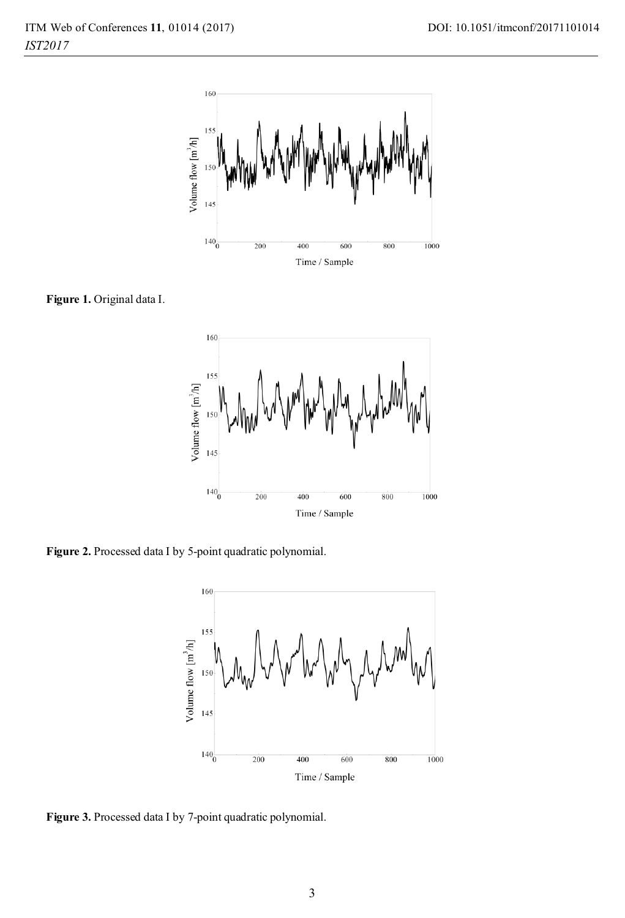

**Figure 1.** Original data I.



**Figure 2.** Processed data I by 5-point quadratic polynomial.



**Figure 3.** Processed data I by 7-point quadratic polynomial.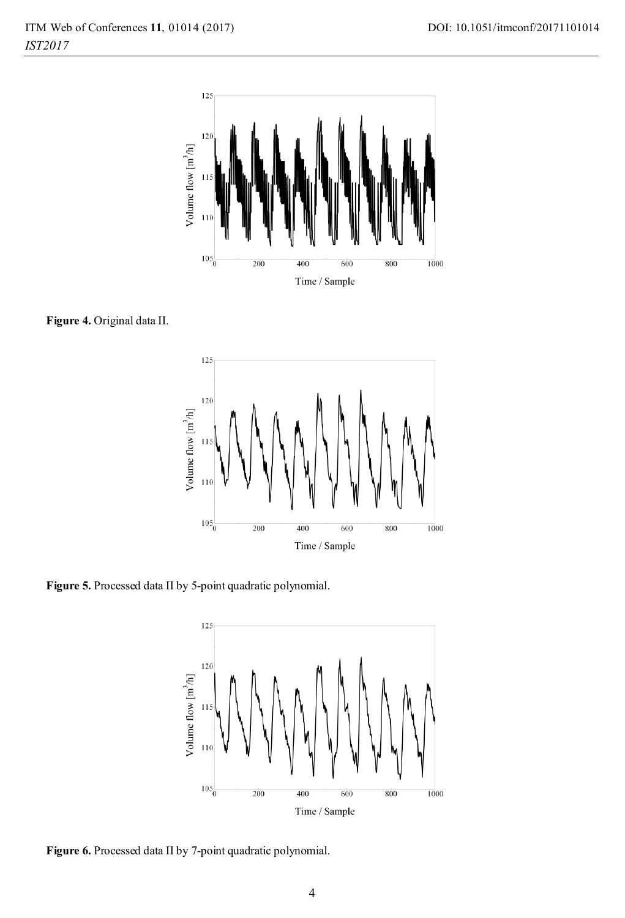

**Figure 4.** Original data II.



**Figure 5.** Processed data II by 5-point quadratic polynomial.



**Figure 6.** Processed data II by 7-point quadratic polynomial.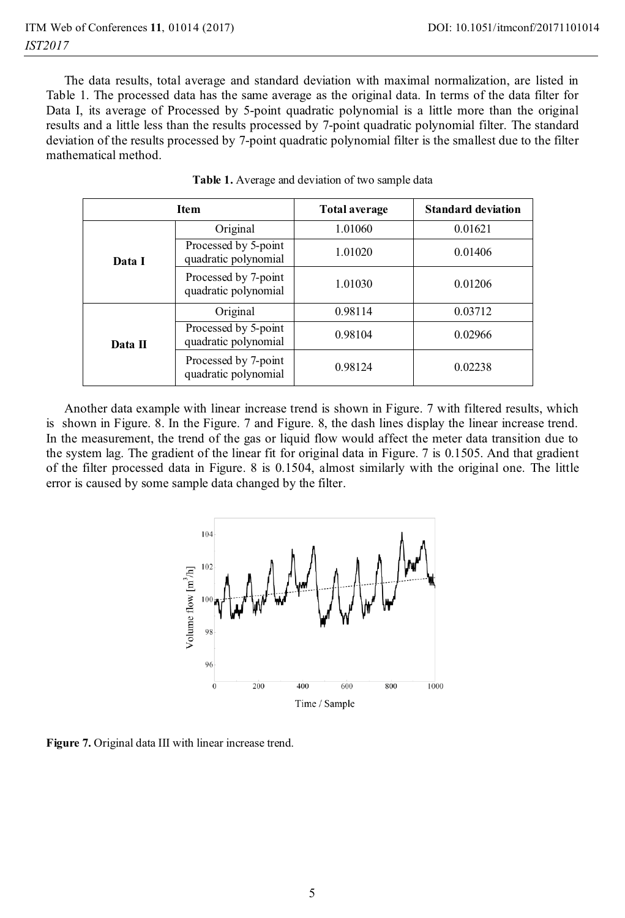The data results, total average and standard deviation with maximal normalization, are listed in Table 1. The processed data has the same average as the original data. In terms of the data filter for Data I, its average of Processed by 5-point quadratic polynomial is a little more than the original results and a little less than the results processed by 7-point quadratic polynomial filter. The standard deviation of the results processed by 7-point quadratic polynomial filter is the smallest due to the filter mathematical method.

| <b>Item</b> |                                              | <b>Total average</b> | <b>Standard deviation</b> |
|-------------|----------------------------------------------|----------------------|---------------------------|
| Data I      | Original                                     | 1.01060              | 0.01621                   |
|             | Processed by 5-point<br>quadratic polynomial | 1.01020              | 0.01406                   |
|             | Processed by 7-point<br>quadratic polynomial | 1.01030              | 0.01206                   |
| Data II     | Original                                     | 0.98114              | 0.03712                   |
|             | Processed by 5-point<br>quadratic polynomial | 0.98104              | 0.02966                   |
|             | Processed by 7-point<br>quadratic polynomial | 0.98124              | 0.02238                   |

**Table 1.** Average and deviation of two sample data

Another data example with linear increase trend is shown in Figure. 7 with filtered results, which is shown in Figure. 8. In the Figure. 7 and Figure. 8, the dash lines display the linear increase trend. In the measurement, the trend of the gas or liquid flow would affect the meter data transition due to the system lag. The gradient of the linear fit for original data in Figure. 7 is 0.1505. And that gradient of the filter processed data in Figure. 8 is 0.1504, almost similarly with the original one. The little error is caused by some sample data changed by the filter.



**Figure 7.** Original data III with linear increase trend.